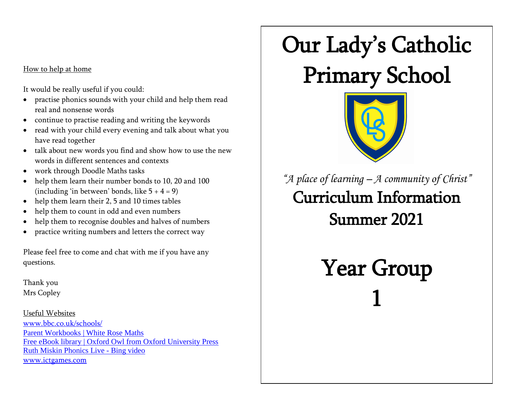## How to help at home

It would be really useful if you could:

- practise phonics sounds with your child and help them read real and nonsense words
- continue to practise reading and writing the keywords
- read with your child every evening and talk about what you have read together
- talk about new words you find and show how to use the new words in different sentences and contexts
- work through Doodle Maths tasks
- help them learn their number bonds to 10, 20 and 100 (including 'in between' bonds, like  $5 + 4 = 9$ )
- help them learn their 2, 5 and 10 times tables
- help them to count in odd and even numbers
- help them to recognise doubles and halves of numbers
- practice writing numbers and letters the correct way

Please feel free to come and chat with me if you have any questions.

Thank you Mrs Copley

Useful Websites [www.bbc.co.uk/schools/](http://www.bbc.co.uk/schools/) [Parent Workbooks | White Rose Maths](https://whiterosemaths.com/for-parents/parent-workbooks/) [Free eBook library | Oxford Owl from Oxford University Press](https://www.oxfordowl.co.uk/for-home/find-a-book/library-page/) [Ruth Miskin Phonics Live -](https://www.bing.com/videos/search?q=Ruth+Miskin+Phonics+Live&FORM=VDMHRS) Bing video [www.ictgames.com](http://www.ictgames.com/)

## Our Lady's Catholic

## Primary School



*"A place of learning – A community of Christ"* Curriculum Information Summer 2021

> Year Group 1